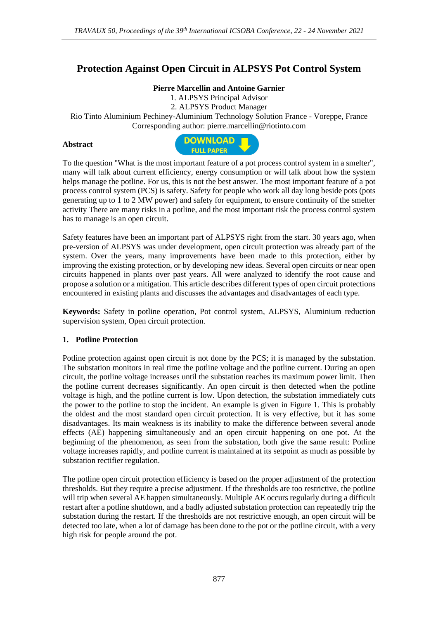# **Protection Against Open Circuit in ALPSYS Pot Control System**

### **Pierre Marcellin and Antoine Garnier**

1. ALPSYS Principal Advisor 2. ALPSYS Product Manager Rio Tinto Aluminium Pechiney-Aluminium Technology Solution France - Voreppe, France Corresponding author: pierre.marcellin@riotinto.com

#### **Abstract**



To the question "What is the most important feature of a pot process control system in a smelter", many will talk about current efficiency, energy consumption or will talk about how the system helps manage the potline. For us, this is not the best answer. The most important feature of a pot process control system (PCS) is safety. Safety for people who work all day long beside pots (pots generating up to 1 to 2 MW power) and safety for equipment, to ensure continuity of the smelter activity There are many risks in a potline, and the most important risk the process control system has to manage is an open circuit.

Safety features have been an important part of ALPSYS right from the start. 30 years ago, when pre-version of ALPSYS was under development, open circuit protection was already part of the system. Over the years, many improvements have been made to this protection, either by improving the existing protection, or by developing new ideas. Several open circuits or near open circuits happened in plants over past years. All were analyzed to identify the root cause and propose a solution or a mitigation. This article describes different types of open circuit protections encountered in existing plants and discusses the advantages and disadvantages of each type.

**Keywords:** Safety in potline operation, Pot control system, ALPSYS, Aluminium reduction supervision system, Open circuit protection.

### **1. Potline Protection**

Potline protection against open circuit is not done by the PCS; it is managed by the substation. The substation monitors in real time the potline voltage and the potline current. During an open circuit, the potline voltage increases until the substation reaches its maximum power limit. Then the potline current decreases significantly. An open circuit is then detected when the potline voltage is high, and the potline current is low. Upon detection, the substation immediately cuts the power to the potline to stop the incident. An example is given in Figure 1. This is probably the oldest and the most standard open circuit protection. It is very effective, but it has some disadvantages. Its main weakness is its inability to make the difference between several anode effects (AE) happening simultaneously and an open circuit happening on one pot. At the beginning of the phenomenon, as seen from the substation, both give the same result: Potline voltage increases rapidly, and potline current is maintained at its setpoint as much as possible by substation rectifier regulation.

The potline open circuit protection efficiency is based on the proper adjustment of the protection thresholds. But they require a precise adjustment. If the thresholds are too restrictive, the potline will trip when several AE happen simultaneously. Multiple AE occurs regularly during a difficult restart after a potline shutdown, and a badly adjusted substation protection can repeatedly trip the substation during the restart. If the thresholds are not restrictive enough, an open circuit will be detected too late, when a lot of damage has been done to the pot or the potline circuit, with a very high risk for people around the pot.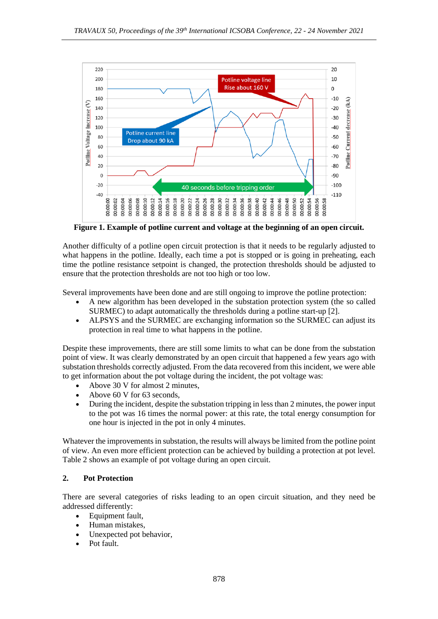

**Figure 1. Example of potline current and voltage at the beginning of an open circuit.**

Another difficulty of a potline open circuit protection is that it needs to be regularly adjusted to what happens in the potline. Ideally, each time a pot is stopped or is going in preheating, each time the potline resistance setpoint is changed, the protection thresholds should be adjusted to ensure that the protection thresholds are not too high or too low.

Several improvements have been done and are still ongoing to improve the potline protection:

- A new algorithm has been developed in the substation protection system (the so called SURMEC) to adapt automatically the thresholds during a potline start-up [2].
- ALPSYS and the SURMEC are exchanging information so the SURMEC can adjust its protection in real time to what happens in the potline.

Despite these improvements, there are still some limits to what can be done from the substation point of view. It was clearly demonstrated by an open circuit that happened a few years ago with substation thresholds correctly adjusted. From the data recovered from this incident, we were able to get information about the pot voltage during the incident, the pot voltage was:

- Above 30 V for almost 2 minutes,
- Above 60 V for 63 seconds,
- During the incident, despite the substation tripping in less than 2 minutes, the power input to the pot was 16 times the normal power: at this rate, the total energy consumption for one hour is injected in the pot in only 4 minutes.

Whatever the improvements in substation, the results will always be limited from the potline point of view. An even more efficient protection can be achieved by building a protection at pot level. Table 2 shows an example of pot voltage during an open circuit.

### **2. Pot Protection**

There are several categories of risks leading to an open circuit situation, and they need be addressed differently:

- Equipment fault.
- Human mistakes,
- Unexpected pot behavior,
- Pot fault.